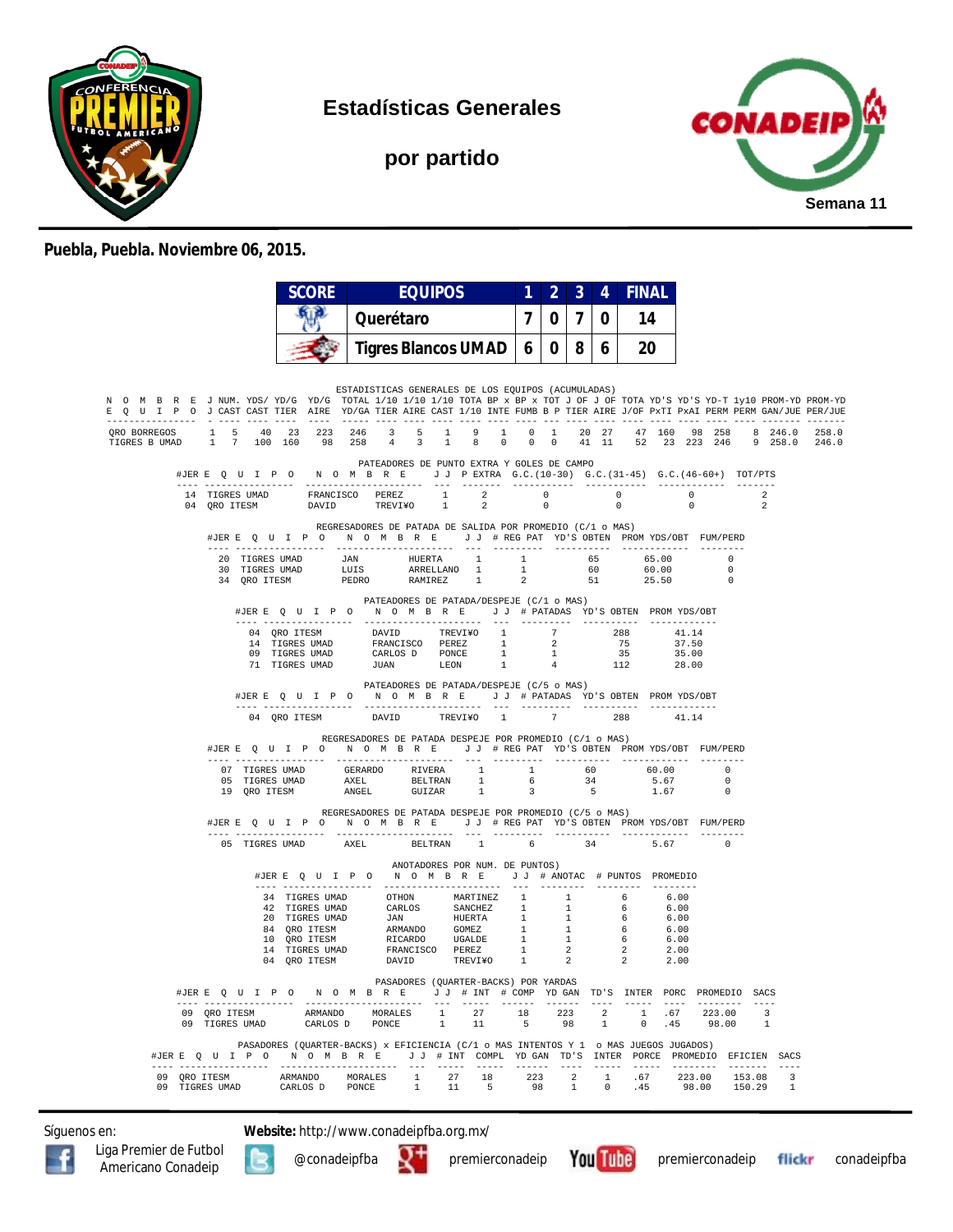

**Estadísticas Generales**

**por partido**



## **Puebla, Puebla. Noviembre 06, 2015.**

|                                                                                                                                                                                                                                                        |                                                                                                                                                                                                                               |                                                                                                                                                                                                                                                  |                                                                                    |                |  |                                                | $7^{\circ}$                   |            |    |    |     |                                  |                    |                         |                                  |       |
|--------------------------------------------------------------------------------------------------------------------------------------------------------------------------------------------------------------------------------------------------------|-------------------------------------------------------------------------------------------------------------------------------------------------------------------------------------------------------------------------------|--------------------------------------------------------------------------------------------------------------------------------------------------------------------------------------------------------------------------------------------------|------------------------------------------------------------------------------------|----------------|--|------------------------------------------------|-------------------------------|------------|----|----|-----|----------------------------------|--------------------|-------------------------|----------------------------------|-------|
|                                                                                                                                                                                                                                                        |                                                                                                                                                                                                                               |                                                                                                                                                                                                                                                  | Querétaro                                                                          |                |  |                                                | $\overline{7}$<br>$\mathbf 0$ |            | 0  | 14 |     |                                  |                    |                         |                                  |       |
|                                                                                                                                                                                                                                                        |                                                                                                                                                                                                                               |                                                                                                                                                                                                                                                  | <b>Tigres Blancos UMAD</b>                                                         |                |  |                                                | 6 I                           | $0 \mid 8$ |    | 6  | 20  |                                  |                    |                         |                                  |       |
| N O M B R E J NUM. YDS/YD/G YD/G TOTAL 1/10 1/10 1/10 TOTA BP x BP x TOT J OF J OF TOTA YD'S YD-T 1y10 PROM-YD PROM-YD<br>E Q U I P O J CAST CAST TIER AIRE YD/GA TIER AIRE CAST 1/10 INTE FUMB B P TIER AIRE J/OF PxTI PxAI PERM PERM GAN/JUE PER/JUE |                                                                                                                                                                                                                               |                                                                                                                                                                                                                                                  | ESTADISTICAS GENERALES DE LOS EQUIPOS (ACUMULADAS)                                 |                |  |                                                |                               |            |    |    |     |                                  |                    |                         |                                  |       |
| ORO BORREGOS 1 5 40 23 223 246 3 5 1 9 1 0 1 20 27 47 160 98 258 8 246.0<br>TIGRES B UMAD 1 7 100 160 98 258 4 3 1 8 0 0 0 41 11 52 23 223 246 9 258.0 246.0                                                                                           |                                                                                                                                                                                                                               |                                                                                                                                                                                                                                                  |                                                                                    |                |  |                                                |                               |            |    |    |     |                                  |                    |                         |                                  | 258.0 |
|                                                                                                                                                                                                                                                        | #JERE Q U I P O N O M B R E J J PEXTRA G.C. (10-30) G.C. (31-45) G.C. (46-60+) TOT/PTS                                                                                                                                        |                                                                                                                                                                                                                                                  | PATEADORES DE PUNTO EXTRA Y GOLES DE CAMPO                                         |                |  |                                                |                               |            |    |    |     |                                  |                    |                         |                                  |       |
|                                                                                                                                                                                                                                                        | $\begin{tabular}{cccccccccc} 14 & TIGRES UMAD & & FRANCISCO & PEREZ & & 1 & & 2 & & 0 & & 0 \\ 04 & QRO ITESM & & & DAVID & & TREVI*O & & 1 & & 2 & & 0 & & 0 \\ \end{tabular}$                                               |                                                                                                                                                                                                                                                  |                                                                                    |                |  |                                                |                               |            |    |    |     |                                  | $\sim$ 0<br>$\sim$ |                         | $\overline{2}$<br>$\overline{2}$ |       |
|                                                                                                                                                                                                                                                        | #JERE Q U I P O N O M B R E J J # REG PAT YD'S OBTEN PROMYDS/OBT FUM/PERD<br>---- -----------------                                                                                                                           |                                                                                                                                                                                                                                                  | REGRESADORES DE PATADA DE SALIDA POR PROMEDIO (C/1 o MAS)<br>--------------------- |                |  |                                                |                               |            |    |    |     |                                  |                    |                         |                                  |       |
|                                                                                                                                                                                                                                                        |                                                                                                                                                                                                                               |                                                                                                                                                                                                                                                  |                                                                                    |                |  |                                                |                               |            |    |    |     |                                  | $\overline{0}$     | $\bigcap$<br>$\bigcirc$ |                                  |       |
|                                                                                                                                                                                                                                                        |                                                                                                                                                                                                                               | #JERE Q U I P O N O M B R E J J # PATADAS YD'S OBTEN PROMYDS/OBT                                                                                                                                                                                 | PATEADORES DE PATADA/DESPEJE (C/1 o MAS)                                           |                |  |                                                |                               |            |    |    |     |                                  |                    |                         |                                  |       |
|                                                                                                                                                                                                                                                        |                                                                                                                                                                                                                               | $\begin{tabular}{cccccc} 04 & QRO TTESM & & DAVID & TREVIYO & 1 & 7 & 288 \\ 14 & TIGRES UMD & FRANCSCO & PEREE & 1 & 2 & 75 \\ 09 & TIGRES UMD & CRIMDS & PONEE & 1 & 1 & 35 \\ 71 & TIGRES UMD & JUMN & & LEON & 1 & 4 & 112 \\ \end{tabular}$ |                                                                                    |                |  |                                                |                               |            |    |    | 112 | 41.14<br>37.50<br>35.00<br>28.00 |                    |                         |                                  |       |
|                                                                                                                                                                                                                                                        |                                                                                                                                                                                                                               | #JERE Q U I P O N O M B R E J J # PATADAS YD'S OBTEN PROMYDS/OBT<br>04 ORO ITESM                                                                                                                                                                 | PATEADORES DE PATADA/DESPEJE (C/5 o MAS)<br>DAVID TREVI¥O 1 7 288                  |                |  |                                                |                               |            |    |    |     | 41.14                            |                    |                         |                                  |       |
|                                                                                                                                                                                                                                                        | #JERE QUIPO NOMBRE JJ #REGPAT YD'S OBTEN PROMYDS/OBT FUM/PERD                                                                                                                                                                 |                                                                                                                                                                                                                                                  | REGRESADORES DE PATADA DESPEJE POR PROMEDIO (C/1 o MAS)                            |                |  |                                                |                               |            |    |    |     |                                  |                    |                         |                                  |       |
|                                                                                                                                                                                                                                                        | $\begin{tabular}{lcccccc} 07 & TIGRES UMAP & GERARDO & RIVER & 1 & 1 & 60 & 60.00 & 0 \\ 05 & TIGRES UMD & AXEL & BELTRAN & 1 & 6 & 34 & 5.67 & 0 \\ 19 & QRO ITESM & ANGEL & GUIZAR & 1 & 3 & 5 & 1.67 & 0 \\ \end{tabular}$ |                                                                                                                                                                                                                                                  |                                                                                    |                |  |                                                |                               |            |    |    |     |                                  |                    |                         |                                  |       |
|                                                                                                                                                                                                                                                        | #JERE QUIPON OMBRE JJ #REGPAT YD'S OBTEN PROMYDS/OBT FUM/PERD                                                                                                                                                                 |                                                                                                                                                                                                                                                  | REGRESADORES DE PATADA DESPEJE POR PROMEDIO (C/5 o MAS)                            |                |  |                                                |                               |            |    |    |     |                                  |                    |                         |                                  |       |
|                                                                                                                                                                                                                                                        | 05 TIGRES UMAD                                                                                                                                                                                                                |                                                                                                                                                                                                                                                  | AXEL                                                                               | <b>BELTRAN</b> |  | $\mathbf{1}$<br>ANOTADORES POR NUM. DE PUNTOS) | $6\overline{6}$               |            | 34 |    |     | 5.67                             |                    | $\sim$ 0                |                                  |       |
|                                                                                                                                                                                                                                                        |                                                                                                                                                                                                                               | #JERE Q U I P O N O M B R E J J # ANOTAC # PUNTOS PROMEDIO                                                                                                                                                                                       |                                                                                    |                |  |                                                |                               |            |    |    |     |                                  |                    |                         |                                  |       |
|                                                                                                                                                                                                                                                        |                                                                                                                                                                                                                               | 34 TIGRES UMAD OTHON MARTINEZ 1 1 6 6.00<br>20 TIGRES UMAD CARLOS SANCHEZ 1 1 6 6.00<br>20 TIGRES UMAD JAN HUERTA 1 1 6 6.00<br>20 TIGRES UMAD JAN HUERTA 1 1 6 6.00<br>20 TIGRES UMAD JAN HUERTA 1 1 6 6.00<br>10 QRO ITESM ARMANDO COM         |                                                                                    |                |  |                                                |                               |            |    |    |     |                                  |                    |                         |                                  |       |
|                                                                                                                                                                                                                                                        | #JERE Q U I P O N O M B R E J J # INT # COMP YD GAN TD'S INTER PORC PROMEDIO SACS                                                                                                                                             |                                                                                                                                                                                                                                                  |                                                                                    |                |  | PASADORES (QUARTER-BACKS) POR YARDAS           |                               |            |    |    |     |                                  |                    |                         |                                  |       |
|                                                                                                                                                                                                                                                        |                                                                                                                                                                                                                               |                                                                                                                                                                                                                                                  |                                                                                    |                |  |                                                |                               |            |    |    |     |                                  |                    |                         |                                  |       |

Síguenos en: **Website:** http://www.conadeipfba.org.mx/





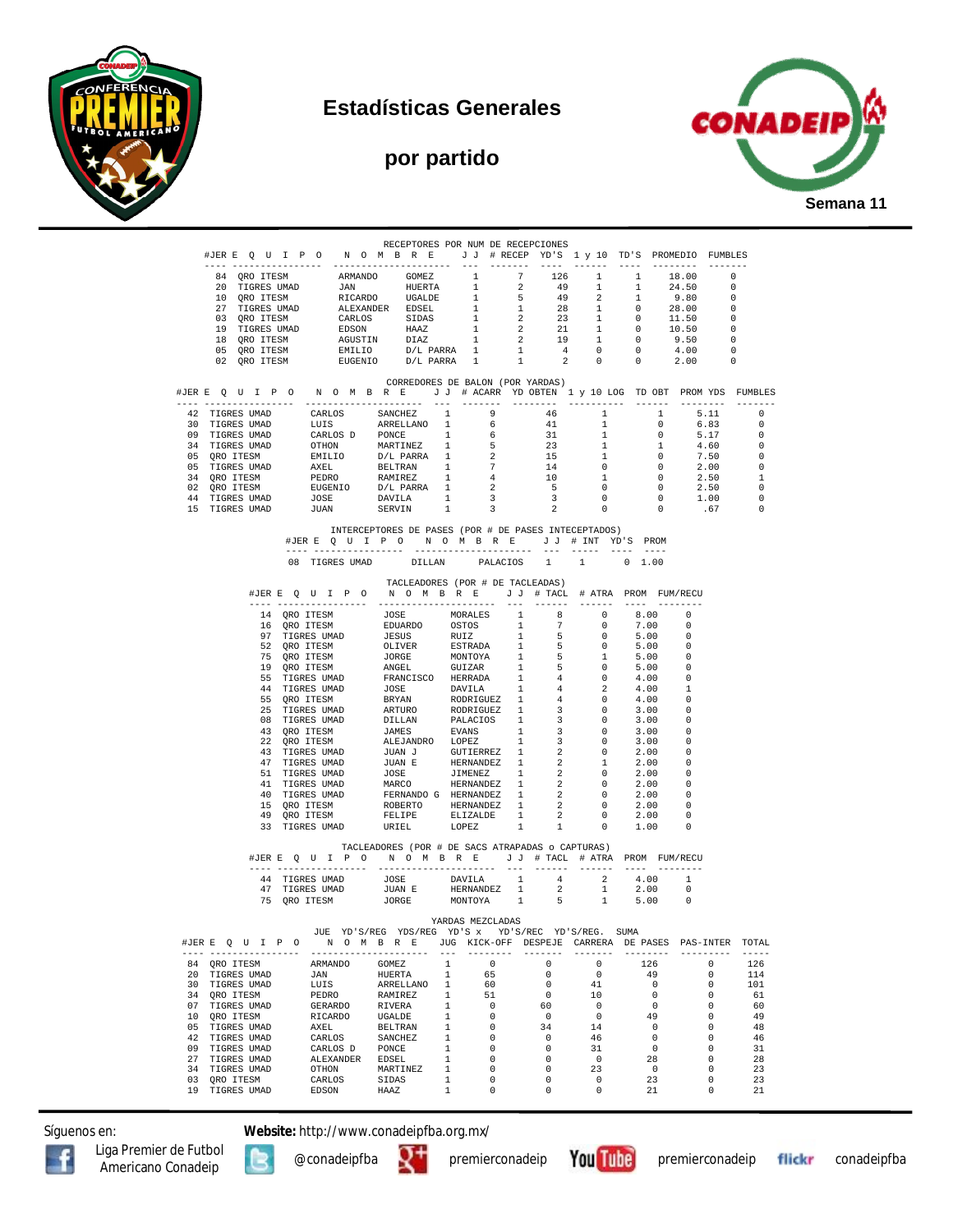

**por partido**





|                                                                                    |                                                                                                                                                                                                                                        | RECEPTORES POR NUM DE RECEPCIONES                    |                                |                                            |                                |                          |                                |                          |                                                                                                                   |
|------------------------------------------------------------------------------------|----------------------------------------------------------------------------------------------------------------------------------------------------------------------------------------------------------------------------------------|------------------------------------------------------|--------------------------------|--------------------------------------------|--------------------------------|--------------------------|--------------------------------|--------------------------|-------------------------------------------------------------------------------------------------------------------|
| #JERE Q U I P O N O M B R E J J # RECEP YD'S 1 y 10 TD'S PROMEDIO FUMBLES          |                                                                                                                                                                                                                                        |                                                      |                                |                                            |                                |                          |                                |                          |                                                                                                                   |
|                                                                                    |                                                                                                                                                                                                                                        |                                                      |                                |                                            |                                |                          |                                |                          |                                                                                                                   |
|                                                                                    |                                                                                                                                                                                                                                        |                                                      |                                |                                            |                                |                          |                                |                          |                                                                                                                   |
|                                                                                    |                                                                                                                                                                                                                                        |                                                      |                                |                                            |                                |                          |                                |                          |                                                                                                                   |
|                                                                                    |                                                                                                                                                                                                                                        |                                                      |                                |                                            |                                |                          |                                |                          |                                                                                                                   |
|                                                                                    |                                                                                                                                                                                                                                        |                                                      |                                |                                            |                                |                          |                                |                          |                                                                                                                   |
|                                                                                    |                                                                                                                                                                                                                                        |                                                      |                                |                                            |                                |                          |                                |                          |                                                                                                                   |
|                                                                                    |                                                                                                                                                                                                                                        |                                                      |                                |                                            |                                |                          |                                |                          |                                                                                                                   |
|                                                                                    |                                                                                                                                                                                                                                        |                                                      |                                |                                            |                                |                          |                                |                          |                                                                                                                   |
|                                                                                    | 03 (NO ITERS UNAD ARMANDO GOMEZ 1 7 126 1 1 18.00 0<br>20 TIGRES UNAD JAN HUERTA 1 2 49 1 1 24.50 0<br>27 TIGRES UNAD RIGARDO UGALDE 1 5 49 2 1 9.80 0<br>27 TIGRES UNAD ALEXANDER EDSEL 1 5 49 2 1 9.80 0<br>27 TIGRES UNAD ALEXANDER |                                                      |                                |                                            |                                |                          |                                |                          |                                                                                                                   |
|                                                                                    |                                                                                                                                                                                                                                        |                                                      |                                |                                            |                                |                          |                                |                          |                                                                                                                   |
|                                                                                    |                                                                                                                                                                                                                                        | CORREDORES DE BALON (POR YARDAS)                     |                                |                                            |                                |                          |                                |                          |                                                                                                                   |
| #JERE QUIPONOMBRE JJ # ACARR YDOBTEN 1 y 10 LOG TDOBT PROMYDS FUMBLES              |                                                                                                                                                                                                                                        |                                                      |                                |                                            |                                |                          |                                |                          |                                                                                                                   |
|                                                                                    |                                                                                                                                                                                                                                        |                                                      |                                |                                            |                                |                          |                                |                          |                                                                                                                   |
|                                                                                    |                                                                                                                                                                                                                                        |                                                      |                                |                                            |                                |                          |                                |                          | $\overline{0}$                                                                                                    |
|                                                                                    |                                                                                                                                                                                                                                        |                                                      |                                |                                            |                                |                          |                                |                          |                                                                                                                   |
|                                                                                    |                                                                                                                                                                                                                                        |                                                      |                                |                                            |                                |                          |                                |                          |                                                                                                                   |
|                                                                                    |                                                                                                                                                                                                                                        |                                                      |                                |                                            |                                |                          |                                |                          | $\begin{array}{ccc} 5.11 & 0 \\ 6.83 & 0 \\ 5.17 & 0 \\ 4.60 & 0 \\ 7.50 & 0 \\ 2.00 & 0 \\ 7.50 & 1 \end{array}$ |
|                                                                                    |                                                                                                                                                                                                                                        |                                                      |                                |                                            |                                |                          |                                |                          |                                                                                                                   |
|                                                                                    |                                                                                                                                                                                                                                        |                                                      |                                |                                            |                                |                          |                                |                          | $\overline{1}$                                                                                                    |
|                                                                                    |                                                                                                                                                                                                                                        |                                                      |                                |                                            |                                |                          |                                |                          | $\overline{\phantom{0}}$                                                                                          |
|                                                                                    |                                                                                                                                                                                                                                        |                                                      |                                |                                            |                                |                          |                                |                          | $\overline{0}$                                                                                                    |
|                                                                                    |                                                                                                                                                                                                                                        |                                                      |                                |                                            |                                |                          |                                |                          | $\overline{0}$                                                                                                    |
|                                                                                    |                                                                                                                                                                                                                                        |                                                      |                                |                                            |                                |                          |                                |                          |                                                                                                                   |
|                                                                                    | #JERE QUIPO NOMBRE JJ # INT YD'S PROM                                                                                                                                                                                                  | INTERCEPTORES DE PASES (POR # DE PASES INTECEPTADOS) |                                |                                            |                                |                          |                                |                          |                                                                                                                   |
|                                                                                    |                                                                                                                                                                                                                                        |                                                      |                                |                                            |                                |                          |                                |                          |                                                                                                                   |
|                                                                                    | 08 TIGRES UMAD                                                                                                                                                                                                                         | DILLAN                                               |                                |                                            |                                |                          | PALACIOS 1 1 0 1.00            |                          |                                                                                                                   |
|                                                                                    |                                                                                                                                                                                                                                        |                                                      |                                |                                            |                                |                          |                                |                          |                                                                                                                   |
|                                                                                    |                                                                                                                                                                                                                                        | TACLEADORES (POR # DE TACLEADAS)                     |                                |                                            |                                |                          |                                |                          |                                                                                                                   |
|                                                                                    | #JERE OUIP ON OMBRE JJ # TACL # ATRA PROM FUM/RECU                                                                                                                                                                                     |                                                      |                                |                                            |                                |                          |                                |                          |                                                                                                                   |
|                                                                                    |                                                                                                                                                                                                                                        |                                                      |                                |                                            |                                |                          |                                |                          |                                                                                                                   |
|                                                                                    |                                                                                                                                                                                                                                        |                                                      |                                |                                            |                                |                          |                                |                          |                                                                                                                   |
|                                                                                    |                                                                                                                                                                                                                                        |                                                      |                                |                                            |                                |                          |                                |                          |                                                                                                                   |
|                                                                                    |                                                                                                                                                                                                                                        |                                                      |                                |                                            |                                |                          |                                |                          |                                                                                                                   |
|                                                                                    |                                                                                                                                                                                                                                        |                                                      |                                |                                            |                                |                          |                                |                          |                                                                                                                   |
|                                                                                    |                                                                                                                                                                                                                                        |                                                      |                                |                                            |                                |                          |                                |                          |                                                                                                                   |
|                                                                                    |                                                                                                                                                                                                                                        |                                                      |                                |                                            |                                |                          |                                |                          |                                                                                                                   |
|                                                                                    |                                                                                                                                                                                                                                        |                                                      |                                |                                            |                                |                          |                                |                          |                                                                                                                   |
|                                                                                    |                                                                                                                                                                                                                                        |                                                      |                                |                                            |                                |                          |                                |                          |                                                                                                                   |
|                                                                                    |                                                                                                                                                                                                                                        |                                                      |                                |                                            |                                |                          |                                |                          |                                                                                                                   |
|                                                                                    |                                                                                                                                                                                                                                        |                                                      |                                |                                            |                                |                          |                                |                          |                                                                                                                   |
|                                                                                    |                                                                                                                                                                                                                                        |                                                      |                                |                                            |                                |                          |                                |                          |                                                                                                                   |
|                                                                                    |                                                                                                                                                                                                                                        |                                                      |                                |                                            |                                |                          |                                |                          |                                                                                                                   |
|                                                                                    |                                                                                                                                                                                                                                        |                                                      |                                |                                            |                                |                          |                                |                          |                                                                                                                   |
|                                                                                    |                                                                                                                                                                                                                                        |                                                      |                                |                                            |                                |                          |                                |                          |                                                                                                                   |
|                                                                                    |                                                                                                                                                                                                                                        |                                                      |                                |                                            |                                |                          |                                |                          |                                                                                                                   |
|                                                                                    |                                                                                                                                                                                                                                        |                                                      |                                |                                            |                                |                          |                                |                          |                                                                                                                   |
|                                                                                    |                                                                                                                                                                                                                                        |                                                      |                                |                                            |                                |                          |                                |                          |                                                                                                                   |
|                                                                                    |                                                                                                                                                                                                                                        |                                                      |                                |                                            |                                |                          |                                |                          |                                                                                                                   |
|                                                                                    |                                                                                                                                                                                                                                        |                                                      |                                |                                            |                                |                          |                                |                          |                                                                                                                   |
|                                                                                    |                                                                                                                                                                                                                                        | TACLEADORES (POR # DE SACS ATRAPADAS o CAPTURAS)     |                                |                                            |                                |                          |                                |                          |                                                                                                                   |
|                                                                                    | #JERE QUIPO NOMBRE JJ # TACL # ATRA PROMFUM/RECU                                                                                                                                                                                       |                                                      |                                |                                            |                                |                          |                                |                          |                                                                                                                   |
|                                                                                    |                                                                                                                                                                                                                                        |                                                      |                                |                                            |                                |                          |                                |                          |                                                                                                                   |
|                                                                                    | $\begin{tabular}{cccccc} 44 & TIGRES UMD & JOSE & DAVILA & 1 & 4 & 2 & 4.00 & 1 \\ 47 & TIGRES UMD & JUAN E & HERNANDEZ & 1 & 2 & 1 & 2.00 & 0 \\ 75 & QRO ITESM & JORGE & MONTOYA & 1 & 5 & 1 & 5.00 & 0 \\ \end{tabular}$            |                                                      |                                |                                            |                                |                          |                                |                          |                                                                                                                   |
|                                                                                    |                                                                                                                                                                                                                                        |                                                      |                                |                                            |                                |                          |                                |                          |                                                                                                                   |
|                                                                                    |                                                                                                                                                                                                                                        |                                                      |                                |                                            |                                |                          |                                |                          |                                                                                                                   |
|                                                                                    |                                                                                                                                                                                                                                        |                                                      |                                | YARDAS MEZCLADAS                           |                                |                          |                                |                          |                                                                                                                   |
|                                                                                    | JUE YD'S/REG YDS/REG YD'S x YD'S/REC YD'S/REG. SUMA                                                                                                                                                                                    |                                                      |                                |                                            |                                |                          |                                |                          |                                                                                                                   |
| #JER E Q U I P O M O M B R E JUG KICK-OFF DESPEJE CARRERA DE PASES PAS-INTER TOTAL |                                                                                                                                                                                                                                        |                                                      |                                |                                            |                                |                          |                                |                          |                                                                                                                   |
|                                                                                    |                                                                                                                                                                                                                                        |                                                      |                                | ---------                                  | --------                       | --------                 | ---------                      |                          | ---------- -----                                                                                                  |
| 84 QRO ITESM                                                                       | ARMANDO                                                                                                                                                                                                                                | GOMEZ                                                | 1                              | $\overline{0}$                             | $\circ$                        | $\circ$                  | 126                            | $\circ$                  | 126                                                                                                               |
| 20 TIGRES UMAD                                                                     | JAN                                                                                                                                                                                                                                    | <b>HUERTA</b>                                        | $\mathbf{1}$                   | 65                                         | $\circ$                        | $\circ$                  | 49                             | $^{\circ}$               | 114                                                                                                               |
| 30 TIGRES UMAD                                                                     | LUIS                                                                                                                                                                                                                                   | ARRELLANO 1                                          |                                | 60                                         | $^{\circ}$                     | 41                       | $\overline{0}$                 | $\circ$                  | 101                                                                                                               |
| 34 ORO ITESM                                                                       | PEDRO                                                                                                                                                                                                                                  | RAMIREZ 1                                            |                                | 51                                         | $\overline{\phantom{0}}$       | 10                       | $\overline{0}$                 | $\circ$                  | 61                                                                                                                |
| 07 TIGRES UMAD                                                                     | GERARDO RIVERA                                                                                                                                                                                                                         |                                                      | 1                              | $\overline{\phantom{0}}$                   | 60                             | $\overline{\phantom{0}}$ | $\overline{0}$                 | $\circ$                  | 60                                                                                                                |
| 10 QRO ITESM<br>05 TIGRES UMAD                                                     | RICARDO UGALDE<br>AXEL BELTRAN                                                                                                                                                                                                         | BELTRAN                                              | $\mathbf{1}$<br>$\overline{1}$ | $\overline{0}$<br>$\overline{\phantom{0}}$ | $\overline{\phantom{0}}$<br>34 | $\overline{0}$<br>14     | 49<br>$\overline{\phantom{0}}$ | $^{\circ}$<br>$^{\circ}$ | 49<br>48                                                                                                          |
| 42 TIGRES UMAD                                                                     | CARLOS                                                                                                                                                                                                                                 | SANCHEZ                                              | $\overline{1}$                 | $\overline{0}$                             | $\overline{\phantom{0}}$       | 46                       | $\overline{0}$                 | $^{\circ}$               | 46                                                                                                                |
| 09 TIGRES UMAD                                                                     |                                                                                                                                                                                                                                        |                                                      | $\mathbf{1}$                   | $\overline{0}$                             | $\overline{0}$                 | 31                       | $\overline{0}$                 | $\circ$                  | 31                                                                                                                |
| 27 TIGRES UMAD                                                                     |                                                                                                                                                                                                                                        |                                                      | $\mathbf{1}$                   | $\overline{\phantom{0}}$                   | $^{\circ}$                     | $\overline{0}$           | 28                             | $^{\circ}$               | 28                                                                                                                |
| 34 TIGRES UMAD                                                                     | CARLOS D PONCE<br>ALEXANDER EDSEL<br>OTHON MARTINEZ                                                                                                                                                                                    |                                                      | $\overline{1}$                 | $\overline{\phantom{0}}$                   | $\circ$                        | 23                       | $\overline{\phantom{0}}$       | $\Omega$                 | 23                                                                                                                |
| 03 QRO ITESM                                                                       | CARLOS                                                                                                                                                                                                                                 | SIDAS                                                | $\mathbf{1}$                   | $\overline{0}$                             | $\circ$                        | $\sim$ 0                 | 23                             | $\Omega$                 | 23                                                                                                                |
| 19 TIGRES UMAD                                                                     | EDSON                                                                                                                                                                                                                                  | HAAZ                                                 | 1                              | $\overline{\phantom{0}}$                   | 0                              | $\circ$                  | 21                             | $\circ$                  | 21                                                                                                                |
|                                                                                    |                                                                                                                                                                                                                                        |                                                      |                                |                                            |                                |                          |                                |                          |                                                                                                                   |

Síguenos en: **Website:** http://www.conadeipfba.org.mx/